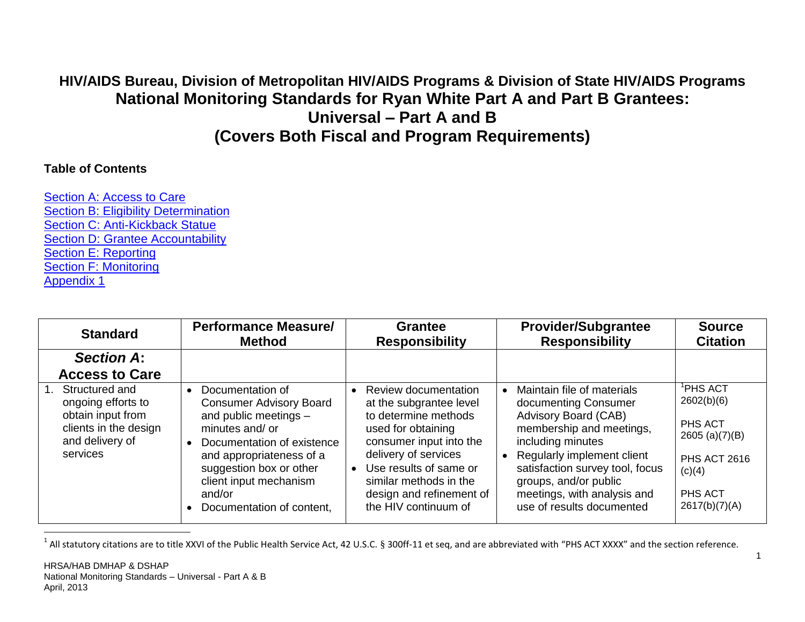# **HIV/AIDS Bureau, Division of Metropolitan HIV/AIDS Programs & Division of State HIV/AIDS Programs National Monitoring Standards for Ryan White Part A and Part B Grantees: Universal – Part A and B (Covers Both Fiscal and Program Requirements)**

#### **Table of Contents**

[Section A: Access to Care](#page-0-0) [Section B: Eligibility](#page-2-0) Determination [Section C: Anti-Kickback Statue](#page-5-0) [Section D: Grantee Accountability](#page-7-0) [Section E: Reporting](#page-10-0) [Section F: Monitoring](#page-12-0) [Appendix 1](#page-16-0)

<span id="page-0-0"></span>

| <b>Standard</b>                                                                                                              | <b>Performance Measure/</b><br><b>Method</b>                                                                                                                                                                                                                                  | <b>Grantee</b><br><b>Responsibility</b>                                                                                                                                                                                                                  | <b>Provider/Subgrantee</b><br><b>Responsibility</b>                                                                                                                                                                                                                               | <b>Source</b><br><b>Citation</b>                                                                                       |
|------------------------------------------------------------------------------------------------------------------------------|-------------------------------------------------------------------------------------------------------------------------------------------------------------------------------------------------------------------------------------------------------------------------------|----------------------------------------------------------------------------------------------------------------------------------------------------------------------------------------------------------------------------------------------------------|-----------------------------------------------------------------------------------------------------------------------------------------------------------------------------------------------------------------------------------------------------------------------------------|------------------------------------------------------------------------------------------------------------------------|
| <b>Section A:</b>                                                                                                            |                                                                                                                                                                                                                                                                               |                                                                                                                                                                                                                                                          |                                                                                                                                                                                                                                                                                   |                                                                                                                        |
| <b>Access to Care</b>                                                                                                        |                                                                                                                                                                                                                                                                               |                                                                                                                                                                                                                                                          |                                                                                                                                                                                                                                                                                   |                                                                                                                        |
| Structured and<br>$1_{-}$<br>ongoing efforts to<br>obtain input from<br>clients in the design<br>and delivery of<br>services | Documentation of<br>$\bullet$<br><b>Consumer Advisory Board</b><br>and public meetings -<br>minutes and/or<br>Documentation of existence<br>$\bullet$<br>and appropriateness of a<br>suggestion box or other<br>client input mechanism<br>and/or<br>Documentation of content, | Review documentation<br>at the subgrantee level<br>to determine methods<br>used for obtaining<br>consumer input into the<br>delivery of services<br>Use results of same or<br>similar methods in the<br>design and refinement of<br>the HIV continuum of | Maintain file of materials<br>documenting Consumer<br>Advisory Board (CAB)<br>membership and meetings,<br>including minutes<br>Regularly implement client<br>satisfaction survey tool, focus<br>groups, and/or public<br>meetings, with analysis and<br>use of results documented | $^1$ PHS ACT<br>2602(b)(6)<br>PHS ACT<br>2605 $(a)(7)(B)$<br><b>PHS ACT 2616</b><br>(c)(4)<br>PHS ACT<br>2617(b)(7)(A) |

 $^1$  All statutory citations are to title XXVI of the Public Health Service Act, 42 U.S.C. § 300ff-11 et seq, and are abbreviated with "PHS ACT XXXX" and the section reference.

 $\overline{a}$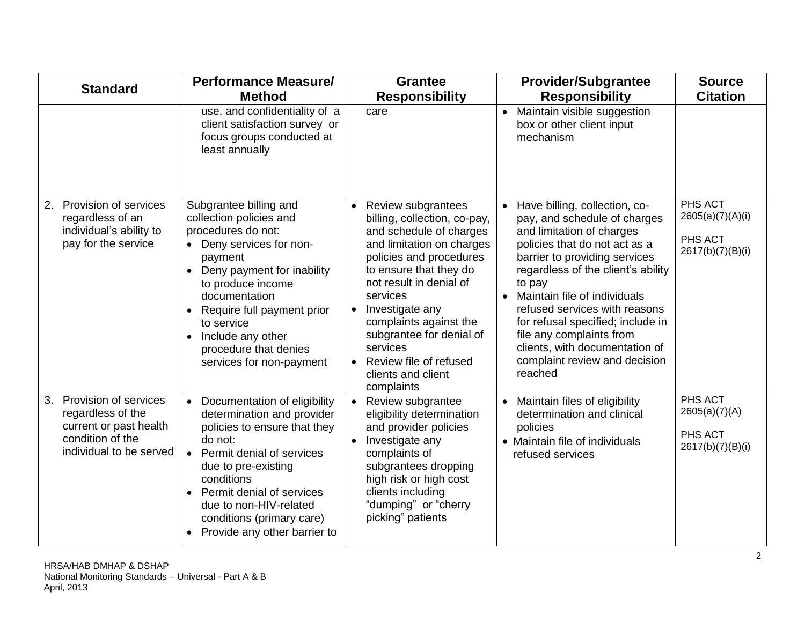| <b>Standard</b>                                                                                                           | <b>Performance Measure/</b><br><b>Method</b>                                                                                                                                                                                                                                                                                                    | <b>Grantee</b><br><b>Responsibility</b>                                                                                                                                                                                                                                                                                                                                                    | <b>Provider/Subgrantee</b><br><b>Responsibility</b>                                                                                                                                                                                                                                                                                                                                                                                       | <b>Source</b><br><b>Citation</b>                           |
|---------------------------------------------------------------------------------------------------------------------------|-------------------------------------------------------------------------------------------------------------------------------------------------------------------------------------------------------------------------------------------------------------------------------------------------------------------------------------------------|--------------------------------------------------------------------------------------------------------------------------------------------------------------------------------------------------------------------------------------------------------------------------------------------------------------------------------------------------------------------------------------------|-------------------------------------------------------------------------------------------------------------------------------------------------------------------------------------------------------------------------------------------------------------------------------------------------------------------------------------------------------------------------------------------------------------------------------------------|------------------------------------------------------------|
|                                                                                                                           | use, and confidentiality of a<br>client satisfaction survey or<br>focus groups conducted at<br>least annually                                                                                                                                                                                                                                   | care                                                                                                                                                                                                                                                                                                                                                                                       | Maintain visible suggestion<br>box or other client input<br>mechanism                                                                                                                                                                                                                                                                                                                                                                     |                                                            |
| Provision of services<br>2.<br>regardless of an<br>individual's ability to<br>pay for the service                         | Subgrantee billing and<br>collection policies and<br>procedures do not:<br>• Deny services for non-<br>payment<br>Deny payment for inability<br>$\bullet$<br>to produce income<br>documentation<br>Require full payment prior<br>$\bullet$<br>to service<br>Include any other<br>$\bullet$<br>procedure that denies<br>services for non-payment | <b>Review subgrantees</b><br>billing, collection, co-pay,<br>and schedule of charges<br>and limitation on charges<br>policies and procedures<br>to ensure that they do<br>not result in denial of<br>services<br>Investigate any<br>$\bullet$<br>complaints against the<br>subgrantee for denial of<br>services<br>Review file of refused<br>$\bullet$<br>clients and client<br>complaints | Have billing, collection, co-<br>pay, and schedule of charges<br>and limitation of charges<br>policies that do not act as a<br>barrier to providing services<br>regardless of the client's ability<br>to pay<br>Maintain file of individuals<br>$\bullet$<br>refused services with reasons<br>for refusal specified; include in<br>file any complaints from<br>clients, with documentation of<br>complaint review and decision<br>reached | PHS ACT<br>2605(a)(7)(A)(i)<br>PHS ACT<br>2617(b)(7)(B)(i) |
| Provision of services<br>3.<br>regardless of the<br>current or past health<br>condition of the<br>individual to be served | Documentation of eligibility<br>$\bullet$<br>determination and provider<br>policies to ensure that they<br>do not:<br>Permit denial of services<br>$\bullet$<br>due to pre-existing<br>conditions<br>Permit denial of services<br>$\bullet$<br>due to non-HIV-related<br>conditions (primary care)<br>Provide any other barrier to              | Review subgrantee<br>eligibility determination<br>and provider policies<br>Investigate any<br>$\bullet$<br>complaints of<br>subgrantees dropping<br>high risk or high cost<br>clients including<br>"dumping" or "cherry<br>picking" patients                                                                                                                                               | Maintain files of eligibility<br>$\bullet$<br>determination and clinical<br>policies<br>• Maintain file of individuals<br>refused services                                                                                                                                                                                                                                                                                                | PHS ACT<br>2605(a)(7)(A)<br>PHS ACT<br>2617(b)(7)(B)(i)    |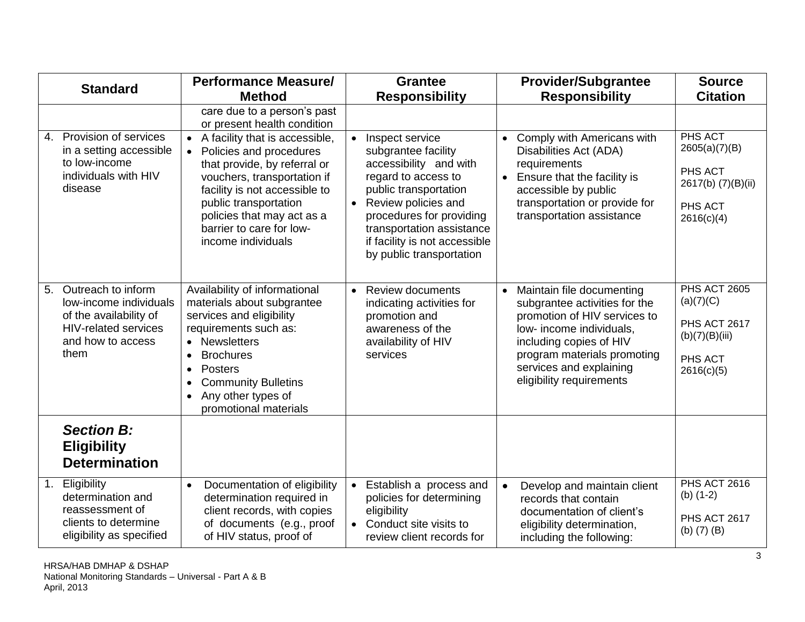<span id="page-2-0"></span>

|    | <b>Standard</b>                                                                                                                    | <b>Performance Measure/</b>                                                                                                                                                                                                                                                                                                                                |                        | <b>Grantee</b>                                                                                                                                                                                                                                                |           | <b>Provider/Subgrantee</b>                                                                                                                                                                                                              | <b>Source</b>                                                                                      |
|----|------------------------------------------------------------------------------------------------------------------------------------|------------------------------------------------------------------------------------------------------------------------------------------------------------------------------------------------------------------------------------------------------------------------------------------------------------------------------------------------------------|------------------------|---------------------------------------------------------------------------------------------------------------------------------------------------------------------------------------------------------------------------------------------------------------|-----------|-----------------------------------------------------------------------------------------------------------------------------------------------------------------------------------------------------------------------------------------|----------------------------------------------------------------------------------------------------|
|    |                                                                                                                                    | <b>Method</b>                                                                                                                                                                                                                                                                                                                                              |                        | <b>Responsibility</b>                                                                                                                                                                                                                                         |           | <b>Responsibility</b>                                                                                                                                                                                                                   | <b>Citation</b>                                                                                    |
| 4. | Provision of services<br>in a setting accessible<br>to low-income<br>individuals with HIV<br>disease                               | care due to a person's past<br>or present health condition<br>A facility that is accessible,<br>$\bullet$<br>Policies and procedures<br>$\bullet$<br>that provide, by referral or<br>vouchers, transportation if<br>facility is not accessible to<br>public transportation<br>policies that may act as a<br>barrier to care for low-<br>income individuals | $\bullet$<br>$\bullet$ | Inspect service<br>subgrantee facility<br>accessibility and with<br>regard to access to<br>public transportation<br>Review policies and<br>procedures for providing<br>transportation assistance<br>if facility is not accessible<br>by public transportation | $\bullet$ | Comply with Americans with<br>Disabilities Act (ADA)<br>requirements<br>Ensure that the facility is<br>accessible by public<br>transportation or provide for<br>transportation assistance                                               | PHS ACT<br>2605(a)(7)(B)<br>PHS ACT<br>2617(b) (7)(B)(ii)<br>PHS ACT<br>2616(c)(4)                 |
| 5. | Outreach to inform<br>low-income individuals<br>of the availability of<br><b>HIV-related services</b><br>and how to access<br>them | Availability of informational<br>materials about subgrantee<br>services and eligibility<br>requirements such as:<br>• Newsletters<br><b>Brochures</b><br>$\bullet$<br><b>Posters</b><br>$\bullet$<br><b>Community Bulletins</b><br>$\bullet$<br>Any other types of<br>$\bullet$<br>promotional materials                                                   | $\bullet$              | <b>Review documents</b><br>indicating activities for<br>promotion and<br>awareness of the<br>availability of HIV<br>services                                                                                                                                  |           | Maintain file documenting<br>subgrantee activities for the<br>promotion of HIV services to<br>low- income individuals,<br>including copies of HIV<br>program materials promoting<br>services and explaining<br>eligibility requirements | <b>PHS ACT 2605</b><br>(a)(7)(C)<br><b>PHS ACT 2617</b><br>(b)(7)(B)(iii)<br>PHS ACT<br>2616(c)(5) |
|    | <b>Section B:</b><br><b>Eligibility</b><br><b>Determination</b>                                                                    |                                                                                                                                                                                                                                                                                                                                                            |                        |                                                                                                                                                                                                                                                               |           |                                                                                                                                                                                                                                         |                                                                                                    |
| 1. | Eligibility<br>determination and<br>reassessment of<br>clients to determine<br>eligibility as specified                            | Documentation of eligibility<br>$\bullet$<br>determination required in<br>client records, with copies<br>of documents (e.g., proof<br>of HIV status, proof of                                                                                                                                                                                              | $\bullet$              | Establish a process and<br>policies for determining<br>eligibility<br>Conduct site visits to<br>review client records for                                                                                                                                     |           | Develop and maintain client<br>records that contain<br>documentation of client's<br>eligibility determination,<br>including the following:                                                                                              | <b>PHS ACT 2616</b><br>(b) $(1-2)$<br>PHS ACT 2617<br>(b) $(7)$ (B)                                |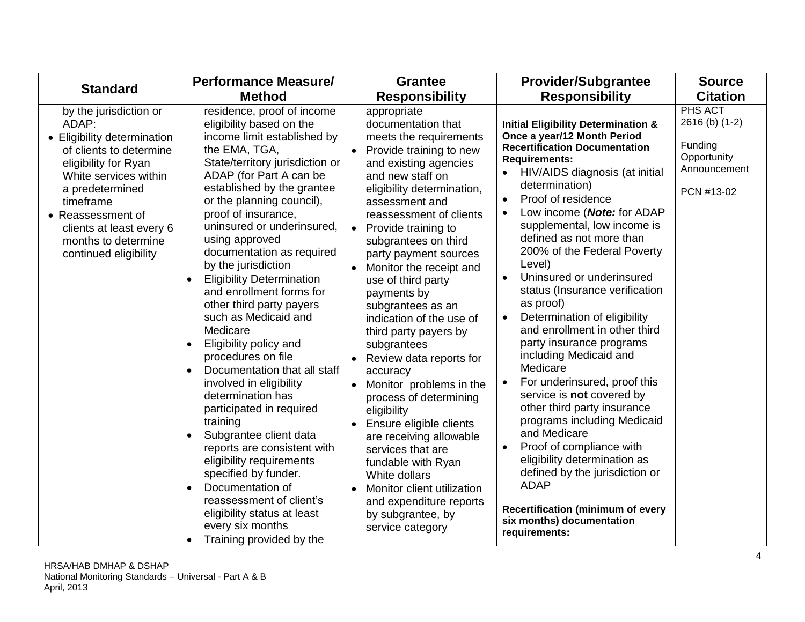| <b>Standard</b>                                                                                                                                                                                                                                                             | <b>Performance Measure/</b>                                                                                                                                                                                                                                                                                                                                                                                                                                                                                                                                                                                                                                                                                                                                                                                                                                                                                                                                                     | <b>Grantee</b>                                                                                                                                                                                                                                                                                                                                                                                                                                                                                                                                                                                                                                                                                                                                                                                                                                    | <b>Provider/Subgrantee</b>                                                                                                                                                                                                                                                                                                                                                                                                                                                                                                                                                                                                                                                                                                                                                                                                                                                                                                                                                                  | <b>Source</b>                                                                     |
|-----------------------------------------------------------------------------------------------------------------------------------------------------------------------------------------------------------------------------------------------------------------------------|---------------------------------------------------------------------------------------------------------------------------------------------------------------------------------------------------------------------------------------------------------------------------------------------------------------------------------------------------------------------------------------------------------------------------------------------------------------------------------------------------------------------------------------------------------------------------------------------------------------------------------------------------------------------------------------------------------------------------------------------------------------------------------------------------------------------------------------------------------------------------------------------------------------------------------------------------------------------------------|---------------------------------------------------------------------------------------------------------------------------------------------------------------------------------------------------------------------------------------------------------------------------------------------------------------------------------------------------------------------------------------------------------------------------------------------------------------------------------------------------------------------------------------------------------------------------------------------------------------------------------------------------------------------------------------------------------------------------------------------------------------------------------------------------------------------------------------------------|---------------------------------------------------------------------------------------------------------------------------------------------------------------------------------------------------------------------------------------------------------------------------------------------------------------------------------------------------------------------------------------------------------------------------------------------------------------------------------------------------------------------------------------------------------------------------------------------------------------------------------------------------------------------------------------------------------------------------------------------------------------------------------------------------------------------------------------------------------------------------------------------------------------------------------------------------------------------------------------------|-----------------------------------------------------------------------------------|
|                                                                                                                                                                                                                                                                             | <b>Method</b>                                                                                                                                                                                                                                                                                                                                                                                                                                                                                                                                                                                                                                                                                                                                                                                                                                                                                                                                                                   | <b>Responsibility</b>                                                                                                                                                                                                                                                                                                                                                                                                                                                                                                                                                                                                                                                                                                                                                                                                                             | <b>Responsibility</b>                                                                                                                                                                                                                                                                                                                                                                                                                                                                                                                                                                                                                                                                                                                                                                                                                                                                                                                                                                       | <b>Citation</b>                                                                   |
| by the jurisdiction or<br>ADAP:<br>• Eligibility determination<br>of clients to determine<br>eligibility for Ryan<br>White services within<br>a predetermined<br>timeframe<br>• Reassessment of<br>clients at least every 6<br>months to determine<br>continued eligibility | residence, proof of income<br>eligibility based on the<br>income limit established by<br>the EMA, TGA,<br>State/territory jurisdiction or<br>ADAP (for Part A can be<br>established by the grantee<br>or the planning council),<br>proof of insurance,<br>uninsured or underinsured.<br>using approved<br>documentation as required<br>by the jurisdiction<br><b>Eligibility Determination</b><br>$\bullet$<br>and enrollment forms for<br>other third party payers<br>such as Medicaid and<br>Medicare<br>Eligibility policy and<br>$\bullet$<br>procedures on file<br>Documentation that all staff<br>$\bullet$<br>involved in eligibility<br>determination has<br>participated in required<br>training<br>Subgrantee client data<br>reports are consistent with<br>eligibility requirements<br>specified by funder.<br>Documentation of<br>$\bullet$<br>reassessment of client's<br>eligibility status at least<br>every six months<br>Training provided by the<br>$\bullet$ | appropriate<br>documentation that<br>meets the requirements<br>• Provide training to new<br>and existing agencies<br>and new staff on<br>eligibility determination,<br>assessment and<br>reassessment of clients<br>Provide training to<br>$\bullet$<br>subgrantees on third<br>party payment sources<br>Monitor the receipt and<br>$\bullet$<br>use of third party<br>payments by<br>subgrantees as an<br>indication of the use of<br>third party payers by<br>subgrantees<br>Review data reports for<br>accuracy<br>Monitor problems in the<br>$\bullet$<br>process of determining<br>eligibility<br>Ensure eligible clients<br>$\bullet$<br>are receiving allowable<br>services that are<br>fundable with Ryan<br>White dollars<br>Monitor client utilization<br>$\bullet$<br>and expenditure reports<br>by subgrantee, by<br>service category | <b>Initial Eligibility Determination &amp;</b><br>Once a year/12 Month Period<br><b>Recertification Documentation</b><br><b>Requirements:</b><br>HIV/AIDS diagnosis (at initial<br>$\bullet$<br>determination)<br>Proof of residence<br>$\bullet$<br>Low income (Note: for ADAP<br>$\bullet$<br>supplemental, low income is<br>defined as not more than<br>200% of the Federal Poverty<br>Level)<br>Uninsured or underinsured<br>$\bullet$<br>status (Insurance verification<br>as proof)<br>Determination of eligibility<br>$\bullet$<br>and enrollment in other third<br>party insurance programs<br>including Medicaid and<br>Medicare<br>For underinsured, proof this<br>service is not covered by<br>other third party insurance<br>programs including Medicaid<br>and Medicare<br>Proof of compliance with<br>eligibility determination as<br>defined by the jurisdiction or<br><b>ADAP</b><br><b>Recertification (minimum of every</b><br>six months) documentation<br>requirements: | PHS ACT<br>2616 (b) (1-2)<br>Funding<br>Opportunity<br>Announcement<br>PCN #13-02 |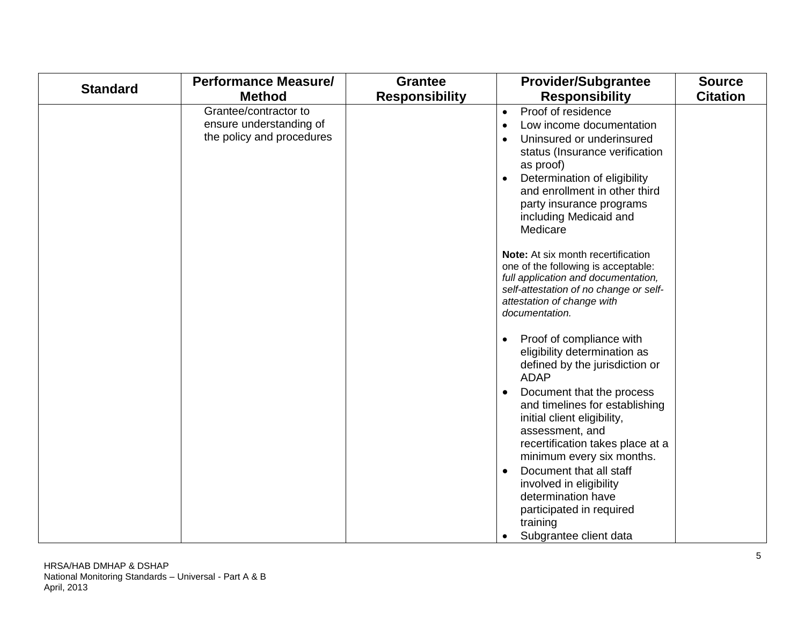| <b>Standard</b> | <b>Performance Measure/</b>                                                   | <b>Grantee</b>        | <b>Provider/Subgrantee</b>                                                                                                                                                                                                                                                                           | <b>Source</b>   |
|-----------------|-------------------------------------------------------------------------------|-----------------------|------------------------------------------------------------------------------------------------------------------------------------------------------------------------------------------------------------------------------------------------------------------------------------------------------|-----------------|
|                 | <b>Method</b>                                                                 | <b>Responsibility</b> | <b>Responsibility</b>                                                                                                                                                                                                                                                                                | <b>Citation</b> |
|                 | Grantee/contractor to<br>ensure understanding of<br>the policy and procedures |                       | Proof of residence<br>$\bullet$<br>Low income documentation<br>$\bullet$<br>Uninsured or underinsured<br>$\bullet$<br>status (Insurance verification<br>as proof)<br>Determination of eligibility<br>and enrollment in other third<br>party insurance programs<br>including Medicaid and<br>Medicare |                 |
|                 |                                                                               |                       | Note: At six month recertification<br>one of the following is acceptable:<br>full application and documentation,<br>self-attestation of no change or self-<br>attestation of change with<br>documentation.                                                                                           |                 |
|                 |                                                                               |                       | Proof of compliance with<br>$\bullet$<br>eligibility determination as<br>defined by the jurisdiction or<br><b>ADAP</b>                                                                                                                                                                               |                 |
|                 |                                                                               |                       | Document that the process<br>$\bullet$<br>and timelines for establishing<br>initial client eligibility,<br>assessment, and<br>recertification takes place at a<br>minimum every six months.<br>Document that all staff<br>$\bullet$<br>involved in eligibility                                       |                 |
|                 |                                                                               |                       | determination have<br>participated in required<br>training<br>Subgrantee client data                                                                                                                                                                                                                 |                 |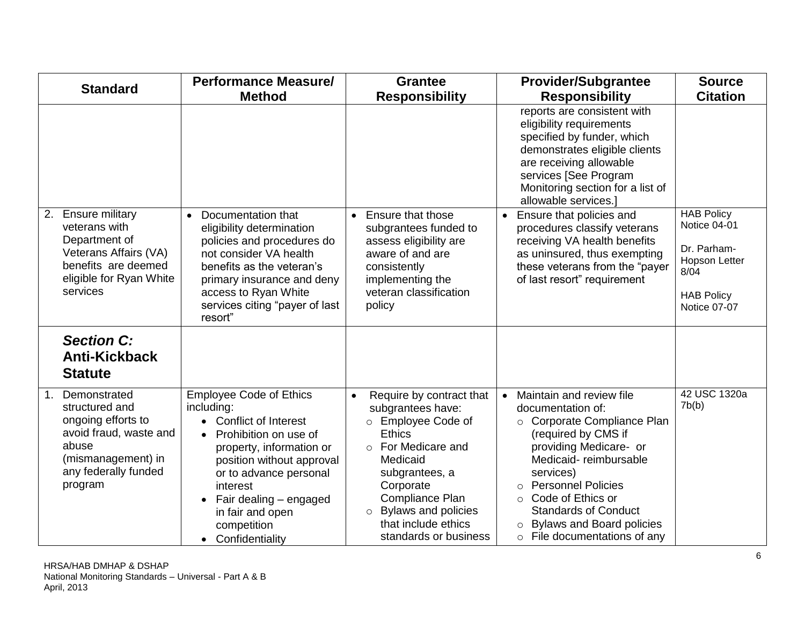<span id="page-5-0"></span>

| <b>Standard</b>                                                                                                                                        | <b>Performance Measure/</b>                                                                                                                                                                                                                                                                        | <b>Grantee</b>                                                                                                                                                                                                                                                 | <b>Provider/Subgrantee</b>                                                                                                                                                                                                                                                                                                                                        | <b>Source</b>                                                                                                  |
|--------------------------------------------------------------------------------------------------------------------------------------------------------|----------------------------------------------------------------------------------------------------------------------------------------------------------------------------------------------------------------------------------------------------------------------------------------------------|----------------------------------------------------------------------------------------------------------------------------------------------------------------------------------------------------------------------------------------------------------------|-------------------------------------------------------------------------------------------------------------------------------------------------------------------------------------------------------------------------------------------------------------------------------------------------------------------------------------------------------------------|----------------------------------------------------------------------------------------------------------------|
|                                                                                                                                                        | <b>Method</b>                                                                                                                                                                                                                                                                                      | <b>Responsibility</b>                                                                                                                                                                                                                                          | <b>Responsibility</b>                                                                                                                                                                                                                                                                                                                                             | <b>Citation</b>                                                                                                |
|                                                                                                                                                        |                                                                                                                                                                                                                                                                                                    |                                                                                                                                                                                                                                                                | reports are consistent with<br>eligibility requirements<br>specified by funder, which<br>demonstrates eligible clients<br>are receiving allowable<br>services [See Program<br>Monitoring section for a list of<br>allowable services.]                                                                                                                            |                                                                                                                |
| <b>Ensure military</b><br>2.<br>veterans with<br>Department of<br>Veterans Affairs (VA)<br>benefits are deemed<br>eligible for Ryan White<br>services  | Documentation that<br>$\bullet$<br>eligibility determination<br>policies and procedures do<br>not consider VA health<br>benefits as the veteran's<br>primary insurance and deny<br>access to Ryan White<br>services citing "payer of last<br>resort"                                               | Ensure that those<br>$\bullet$<br>subgrantees funded to<br>assess eligibility are<br>aware of and are<br>consistently<br>implementing the<br>veteran classification<br>policy                                                                                  | Ensure that policies and<br>procedures classify veterans<br>receiving VA health benefits<br>as uninsured, thus exempting<br>these veterans from the "payer<br>of last resort" requirement                                                                                                                                                                         | <b>HAB Policy</b><br>Notice 04-01<br>Dr. Parham-<br>Hopson Letter<br>8/04<br><b>HAB Policy</b><br>Notice 07-07 |
| <b>Section C:</b><br><b>Anti-Kickback</b><br><b>Statute</b>                                                                                            |                                                                                                                                                                                                                                                                                                    |                                                                                                                                                                                                                                                                |                                                                                                                                                                                                                                                                                                                                                                   |                                                                                                                |
| Demonstrated<br>1.<br>structured and<br>ongoing efforts to<br>avoid fraud, waste and<br>abuse<br>(mismanagement) in<br>any federally funded<br>program | <b>Employee Code of Ethics</b><br>including:<br><b>Conflict of Interest</b><br>Prohibition on use of<br>$\bullet$<br>property, information or<br>position without approval<br>or to advance personal<br>interest<br>Fair dealing - engaged<br>in fair and open<br>competition<br>• Confidentiality | Require by contract that<br>$\bullet$<br>subgrantees have:<br>o Employee Code of<br><b>Ethics</b><br>o For Medicare and<br>Medicaid<br>subgrantees, a<br>Corporate<br>Compliance Plan<br>o Bylaws and policies<br>that include ethics<br>standards or business | Maintain and review file<br>documentation of:<br>○ Corporate Compliance Plan<br>(required by CMS if<br>providing Medicare- or<br>Medicaid-reimbursable<br>services)<br><b>Personnel Policies</b><br>$\Omega$<br>Code of Ethics or<br>$\Omega$<br><b>Standards of Conduct</b><br><b>Bylaws and Board policies</b><br>$\circ$<br>$\circ$ File documentations of any | 42 USC 1320a<br>7b(b)                                                                                          |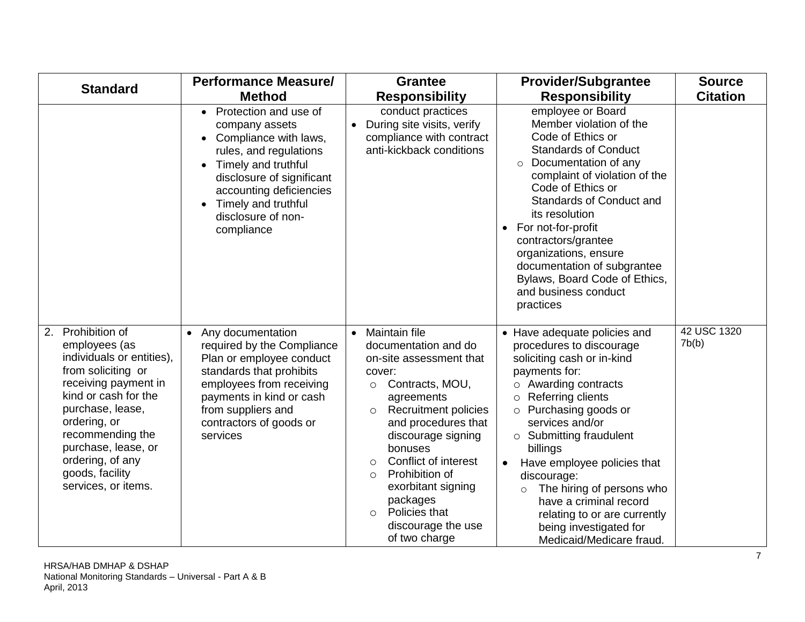| <b>Standard</b>                                                                                                                                                                                                                                                                       | <b>Performance Measure/</b>                                                                                                                                                                                                                                                 | <b>Grantee</b>                                                                                                                                                                                                                                                                                                                                                                                                | <b>Provider/Subgrantee</b>                                                                                                                                                                                                                                                                                                                                                                                                                                                     | <b>Source</b>        |
|---------------------------------------------------------------------------------------------------------------------------------------------------------------------------------------------------------------------------------------------------------------------------------------|-----------------------------------------------------------------------------------------------------------------------------------------------------------------------------------------------------------------------------------------------------------------------------|---------------------------------------------------------------------------------------------------------------------------------------------------------------------------------------------------------------------------------------------------------------------------------------------------------------------------------------------------------------------------------------------------------------|--------------------------------------------------------------------------------------------------------------------------------------------------------------------------------------------------------------------------------------------------------------------------------------------------------------------------------------------------------------------------------------------------------------------------------------------------------------------------------|----------------------|
|                                                                                                                                                                                                                                                                                       | <b>Method</b>                                                                                                                                                                                                                                                               | <b>Responsibility</b>                                                                                                                                                                                                                                                                                                                                                                                         | <b>Responsibility</b>                                                                                                                                                                                                                                                                                                                                                                                                                                                          | <b>Citation</b>      |
|                                                                                                                                                                                                                                                                                       | Protection and use of<br>$\bullet$<br>company assets<br>Compliance with laws,<br>$\bullet$<br>rules, and regulations<br>Timely and truthful<br>$\bullet$<br>disclosure of significant<br>accounting deficiencies<br>Timely and truthful<br>disclosure of non-<br>compliance | conduct practices<br>During site visits, verify<br>$\bullet$<br>compliance with contract<br>anti-kickback conditions                                                                                                                                                                                                                                                                                          | employee or Board<br>Member violation of the<br>Code of Ethics or<br><b>Standards of Conduct</b><br>Documentation of any<br>$\circ$<br>complaint of violation of the<br>Code of Ethics or<br><b>Standards of Conduct and</b><br>its resolution<br>For not-for-profit<br>$\bullet$<br>contractors/grantee<br>organizations, ensure<br>documentation of subgrantee<br>Bylaws, Board Code of Ethics,<br>and business conduct<br>practices                                         |                      |
| Prohibition of<br>2.<br>employees (as<br>individuals or entities),<br>from soliciting or<br>receiving payment in<br>kind or cash for the<br>purchase, lease,<br>ordering, or<br>recommending the<br>purchase, lease, or<br>ordering, of any<br>goods, facility<br>services, or items. | Any documentation<br>$\bullet$<br>required by the Compliance<br>Plan or employee conduct<br>standards that prohibits<br>employees from receiving<br>payments in kind or cash<br>from suppliers and<br>contractors of goods or<br>services                                   | Maintain file<br>$\bullet$<br>documentation and do<br>on-site assessment that<br>cover:<br>Contracts, MOU,<br>$\circ$<br>agreements<br><b>Recruitment policies</b><br>$\circ$<br>and procedures that<br>discourage signing<br>bonuses<br>Conflict of interest<br>$\circ$<br>Prohibition of<br>$\circ$<br>exorbitant signing<br>packages<br>Policies that<br>$\bigcirc$<br>discourage the use<br>of two charge | • Have adequate policies and<br>procedures to discourage<br>soliciting cash or in-kind<br>payments for:<br>$\circ$ Awarding contracts<br>$\circ$ Referring clients<br>o Purchasing goods or<br>services and/or<br>$\circ$ Submitting fraudulent<br>billings<br>Have employee policies that<br>$\bullet$<br>discourage:<br>The hiring of persons who<br>$\circ$<br>have a criminal record<br>relating to or are currently<br>being investigated for<br>Medicaid/Medicare fraud. | 42 USC 1320<br>7b(b) |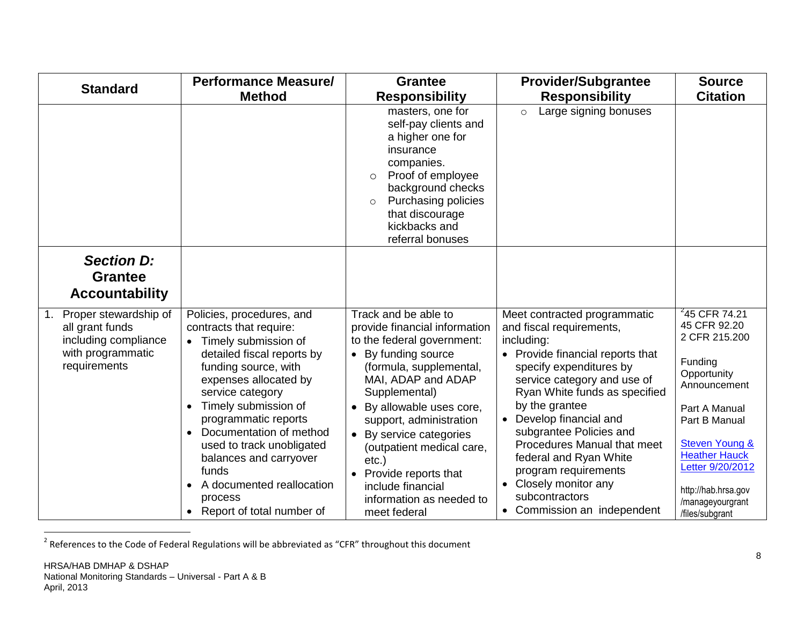<span id="page-7-0"></span>

| <b>Standard</b>                                                                                                         | <b>Performance Measure/</b>                                                                                                                                                                                                                                                                                                                                                                                                                         | <b>Grantee</b>                                                                                                                                                                                                                                                                                                                                                                                           | <b>Provider/Subgrantee</b>                                                                                                                                                                                                                                                                                                                                                                                                           | <b>Source</b>                                                                                                                                                                                                                                                           |
|-------------------------------------------------------------------------------------------------------------------------|-----------------------------------------------------------------------------------------------------------------------------------------------------------------------------------------------------------------------------------------------------------------------------------------------------------------------------------------------------------------------------------------------------------------------------------------------------|----------------------------------------------------------------------------------------------------------------------------------------------------------------------------------------------------------------------------------------------------------------------------------------------------------------------------------------------------------------------------------------------------------|--------------------------------------------------------------------------------------------------------------------------------------------------------------------------------------------------------------------------------------------------------------------------------------------------------------------------------------------------------------------------------------------------------------------------------------|-------------------------------------------------------------------------------------------------------------------------------------------------------------------------------------------------------------------------------------------------------------------------|
|                                                                                                                         | <b>Method</b>                                                                                                                                                                                                                                                                                                                                                                                                                                       | <b>Responsibility</b>                                                                                                                                                                                                                                                                                                                                                                                    | <b>Responsibility</b>                                                                                                                                                                                                                                                                                                                                                                                                                | <b>Citation</b>                                                                                                                                                                                                                                                         |
|                                                                                                                         |                                                                                                                                                                                                                                                                                                                                                                                                                                                     | masters, one for<br>self-pay clients and<br>a higher one for<br>insurance<br>companies.<br>Proof of employee<br>$\circ$<br>background checks<br>Purchasing policies<br>$\circ$<br>that discourage<br>kickbacks and<br>referral bonuses                                                                                                                                                                   | Large signing bonuses<br>$\circ$                                                                                                                                                                                                                                                                                                                                                                                                     |                                                                                                                                                                                                                                                                         |
| <b>Section D:</b><br><b>Grantee</b><br><b>Accountability</b>                                                            |                                                                                                                                                                                                                                                                                                                                                                                                                                                     |                                                                                                                                                                                                                                                                                                                                                                                                          |                                                                                                                                                                                                                                                                                                                                                                                                                                      |                                                                                                                                                                                                                                                                         |
| Proper stewardship of<br>1 <sub>1</sub><br>all grant funds<br>including compliance<br>with programmatic<br>requirements | Policies, procedures, and<br>contracts that require:<br>Timely submission of<br>detailed fiscal reports by<br>funding source, with<br>expenses allocated by<br>service category<br>Timely submission of<br>$\bullet$<br>programmatic reports<br>Documentation of method<br>$\bullet$<br>used to track unobligated<br>balances and carryover<br>funds<br>A documented reallocation<br>$\bullet$<br>process<br>Report of total number of<br>$\bullet$ | Track and be able to<br>provide financial information<br>to the federal government:<br>By funding source<br>(formula, supplemental,<br>MAI, ADAP and ADAP<br>Supplemental)<br>By allowable uses core,<br>support, administration<br>By service categories<br>$\bullet$<br>(outpatient medical care,<br>$etc.$ )<br>Provide reports that<br>include financial<br>information as needed to<br>meet federal | Meet contracted programmatic<br>and fiscal requirements,<br>including:<br>• Provide financial reports that<br>specify expenditures by<br>service category and use of<br>Ryan White funds as specified<br>by the grantee<br>Develop financial and<br>subgrantee Policies and<br>Procedures Manual that meet<br>federal and Ryan White<br>program requirements<br>Closely monitor any<br>subcontractors<br>• Commission an independent | $^{2}$ 45 CFR 74.21<br>45 CFR 92.20<br>2 CFR 215.200<br>Funding<br>Opportunity<br>Announcement<br>Part A Manual<br>Part B Manual<br><b>Steven Young &amp;</b><br><b>Heather Hauck</b><br>Letter 9/20/2012<br>http://hab.hrsa.gov<br>/manageyourgrant<br>/files/subgrant |

 2 References to the Code of Federal Regulations will be abbreviated as "CFR" throughout this document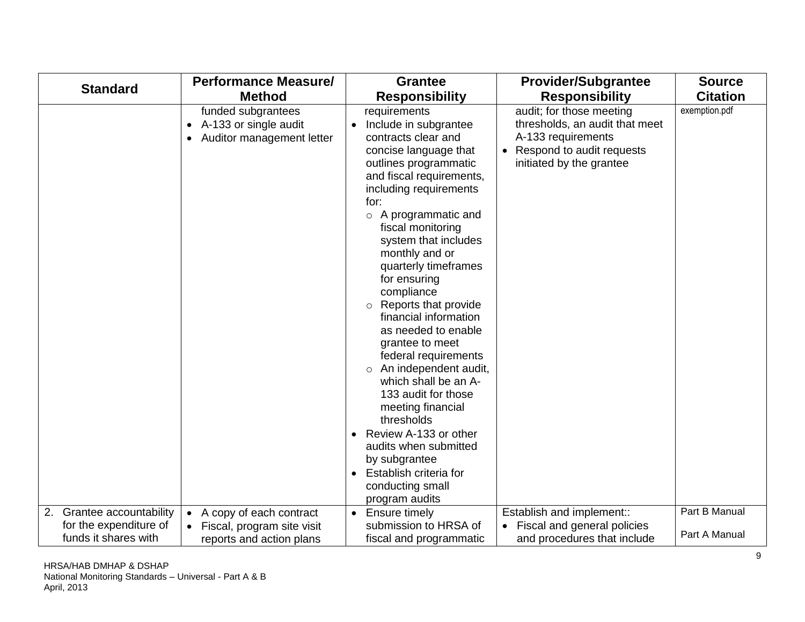|                                                                             | <b>Performance Measure/</b>                                                                        | <b>Grantee</b>                                                                                                                                                                                                                                                                                                                                                                                                                                                                                                                                                                                                                                                                                                                                        | <b>Provider/Subgrantee</b>                                                                                                                | <b>Source</b>                  |
|-----------------------------------------------------------------------------|----------------------------------------------------------------------------------------------------|-------------------------------------------------------------------------------------------------------------------------------------------------------------------------------------------------------------------------------------------------------------------------------------------------------------------------------------------------------------------------------------------------------------------------------------------------------------------------------------------------------------------------------------------------------------------------------------------------------------------------------------------------------------------------------------------------------------------------------------------------------|-------------------------------------------------------------------------------------------------------------------------------------------|--------------------------------|
| <b>Standard</b>                                                             | <b>Method</b>                                                                                      | <b>Responsibility</b>                                                                                                                                                                                                                                                                                                                                                                                                                                                                                                                                                                                                                                                                                                                                 | <b>Responsibility</b>                                                                                                                     | <b>Citation</b>                |
|                                                                             | funded subgrantees<br>A-133 or single audit<br>$\bullet$<br>Auditor management letter<br>$\bullet$ | requirements<br>Include in subgrantee<br>$\bullet$<br>contracts clear and<br>concise language that<br>outlines programmatic<br>and fiscal requirements,<br>including requirements<br>for:<br>A programmatic and<br>$\circ$<br>fiscal monitoring<br>system that includes<br>monthly and or<br>quarterly timeframes<br>for ensuring<br>compliance<br>Reports that provide<br>financial information<br>as needed to enable<br>grantee to meet<br>federal requirements<br>An independent audit,<br>$\circ$<br>which shall be an A-<br>133 audit for those<br>meeting financial<br>thresholds<br>Review A-133 or other<br>$\bullet$<br>audits when submitted<br>by subgrantee<br>Establish criteria for<br>$\bullet$<br>conducting small<br>program audits | audit; for those meeting<br>thresholds, an audit that meet<br>A-133 requirements<br>Respond to audit requests<br>initiated by the grantee | exemption.pdf                  |
| 2. Grantee accountability<br>for the expenditure of<br>funds it shares with | A copy of each contract<br>$\bullet$<br>Fiscal, program site visit<br>reports and action plans     | Ensure timely<br>$\bullet$<br>submission to HRSA of<br>fiscal and programmatic                                                                                                                                                                                                                                                                                                                                                                                                                                                                                                                                                                                                                                                                        | Establish and implement::<br>Fiscal and general policies<br>and procedures that include                                                   | Part B Manual<br>Part A Manual |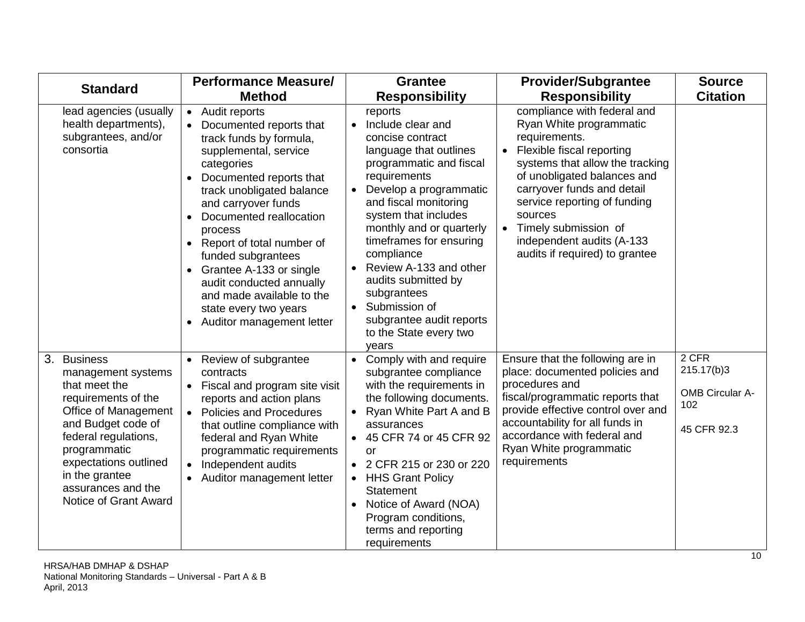| <b>Standard</b>                                                                                                                                                                                                                                           | <b>Performance Measure/</b>                                                                                                                                                                                                                                                                                                                                                                                                                                         | <b>Grantee</b>                                                                                                                                                                                                                                                                                                                                                                                                                                               | <b>Provider/Subgrantee</b>                                                                                                                                                                                                                                                                                                             | <b>Source</b>                                                         |
|-----------------------------------------------------------------------------------------------------------------------------------------------------------------------------------------------------------------------------------------------------------|---------------------------------------------------------------------------------------------------------------------------------------------------------------------------------------------------------------------------------------------------------------------------------------------------------------------------------------------------------------------------------------------------------------------------------------------------------------------|--------------------------------------------------------------------------------------------------------------------------------------------------------------------------------------------------------------------------------------------------------------------------------------------------------------------------------------------------------------------------------------------------------------------------------------------------------------|----------------------------------------------------------------------------------------------------------------------------------------------------------------------------------------------------------------------------------------------------------------------------------------------------------------------------------------|-----------------------------------------------------------------------|
|                                                                                                                                                                                                                                                           | <b>Method</b>                                                                                                                                                                                                                                                                                                                                                                                                                                                       | <b>Responsibility</b>                                                                                                                                                                                                                                                                                                                                                                                                                                        | <b>Responsibility</b>                                                                                                                                                                                                                                                                                                                  | <b>Citation</b>                                                       |
| lead agencies (usually<br>health departments),<br>subgrantees, and/or<br>consortia                                                                                                                                                                        | Audit reports<br>$\bullet$<br>Documented reports that<br>track funds by formula,<br>supplemental, service<br>categories<br>Documented reports that<br>track unobligated balance<br>and carryover funds<br>Documented reallocation<br>$\bullet$<br>process<br>Report of total number of<br>funded subgrantees<br>Grantee A-133 or single<br>audit conducted annually<br>and made available to the<br>state every two years<br>Auditor management letter<br>$\bullet$ | reports<br>Include clear and<br>$\bullet$<br>concise contract<br>language that outlines<br>programmatic and fiscal<br>requirements<br>Develop a programmatic<br>$\bullet$<br>and fiscal monitoring<br>system that includes<br>monthly and or quarterly<br>timeframes for ensuring<br>compliance<br>Review A-133 and other<br>audits submitted by<br>subgrantees<br>Submission of<br>$\bullet$<br>subgrantee audit reports<br>to the State every two<br>years | compliance with federal and<br>Ryan White programmatic<br>requirements.<br>Flexible fiscal reporting<br>systems that allow the tracking<br>of unobligated balances and<br>carryover funds and detail<br>service reporting of funding<br>sources<br>Timely submission of<br>independent audits (A-133<br>audits if required) to grantee |                                                                       |
| 3. Business<br>management systems<br>that meet the<br>requirements of the<br>Office of Management<br>and Budget code of<br>federal regulations,<br>programmatic<br>expectations outlined<br>in the grantee<br>assurances and the<br>Notice of Grant Award | Review of subgrantee<br>contracts<br>Fiscal and program site visit<br>reports and action plans<br><b>Policies and Procedures</b><br>$\bullet$<br>that outline compliance with<br>federal and Ryan White<br>programmatic requirements<br>Independent audits<br>$\bullet$<br>Auditor management letter<br>$\bullet$                                                                                                                                                   | Comply with and require<br>subgrantee compliance<br>with the requirements in<br>the following documents.<br>Ryan White Part A and B<br>$\bullet$<br>assurances<br>• 45 CFR 74 or 45 CFR 92<br>or<br>2 CFR 215 or 230 or 220<br><b>HHS Grant Policy</b><br>$\bullet$<br>Statement<br>Notice of Award (NOA)<br>Program conditions,<br>terms and reporting<br>requirements                                                                                      | Ensure that the following are in<br>place: documented policies and<br>procedures and<br>fiscal/programmatic reports that<br>provide effective control over and<br>accountability for all funds in<br>accordance with federal and<br>Ryan White programmatic<br>requirements                                                            | $2$ CFR<br>215.17(b)3<br><b>OMB Circular A-</b><br>102<br>45 CFR 92.3 |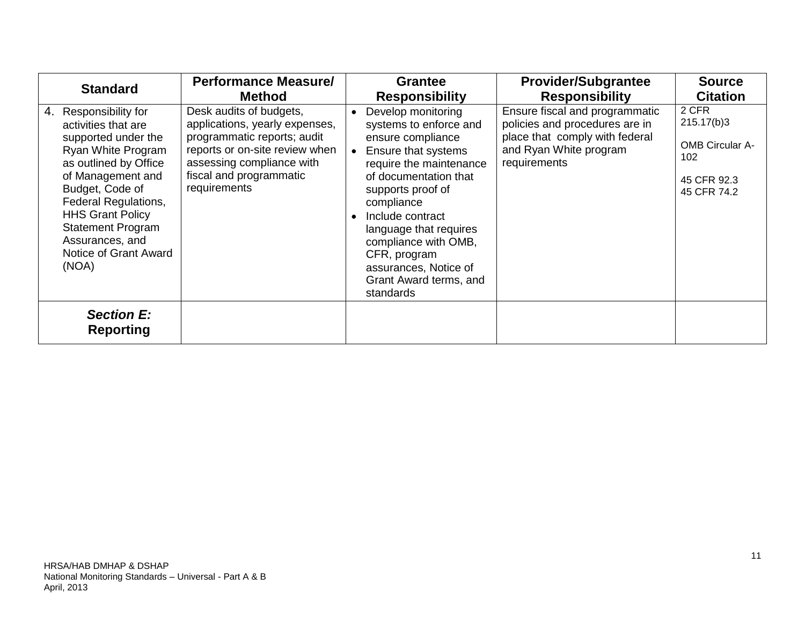<span id="page-10-0"></span>

| <b>Standard</b>                                                                                                                                                                                                                                                                                                 | <b>Performance Measure/</b>                                                                                                                                                                        |           | <b>Grantee</b>                                                                                                                                                                                                                                                                                                                        | <b>Provider/Subgrantee</b>                                                                                                                   | <b>Source</b>                                                                      |
|-----------------------------------------------------------------------------------------------------------------------------------------------------------------------------------------------------------------------------------------------------------------------------------------------------------------|----------------------------------------------------------------------------------------------------------------------------------------------------------------------------------------------------|-----------|---------------------------------------------------------------------------------------------------------------------------------------------------------------------------------------------------------------------------------------------------------------------------------------------------------------------------------------|----------------------------------------------------------------------------------------------------------------------------------------------|------------------------------------------------------------------------------------|
|                                                                                                                                                                                                                                                                                                                 | <b>Method</b>                                                                                                                                                                                      |           | <b>Responsibility</b>                                                                                                                                                                                                                                                                                                                 | <b>Responsibility</b>                                                                                                                        | <b>Citation</b>                                                                    |
| Responsibility for<br>4.<br>activities that are<br>supported under the<br><b>Ryan White Program</b><br>as outlined by Office<br>of Management and<br>Budget, Code of<br><b>Federal Regulations,</b><br><b>HHS Grant Policy</b><br><b>Statement Program</b><br>Assurances, and<br>Notice of Grant Award<br>(NOA) | Desk audits of budgets,<br>applications, yearly expenses,<br>programmatic reports; audit<br>reports or on-site review when<br>assessing compliance with<br>fiscal and programmatic<br>requirements | $\bullet$ | Develop monitoring<br>systems to enforce and<br>ensure compliance<br>Ensure that systems<br>require the maintenance<br>of documentation that<br>supports proof of<br>compliance<br>Include contract<br>language that requires<br>compliance with OMB,<br>CFR, program<br>assurances, Notice of<br>Grant Award terms, and<br>standards | Ensure fiscal and programmatic<br>policies and procedures are in<br>place that comply with federal<br>and Ryan White program<br>requirements | 2 CFR<br>215.17(b)3<br><b>OMB Circular A-</b><br>102<br>45 CFR 92.3<br>45 CFR 74.2 |
| <b>Section E:</b><br><b>Reporting</b>                                                                                                                                                                                                                                                                           |                                                                                                                                                                                                    |           |                                                                                                                                                                                                                                                                                                                                       |                                                                                                                                              |                                                                                    |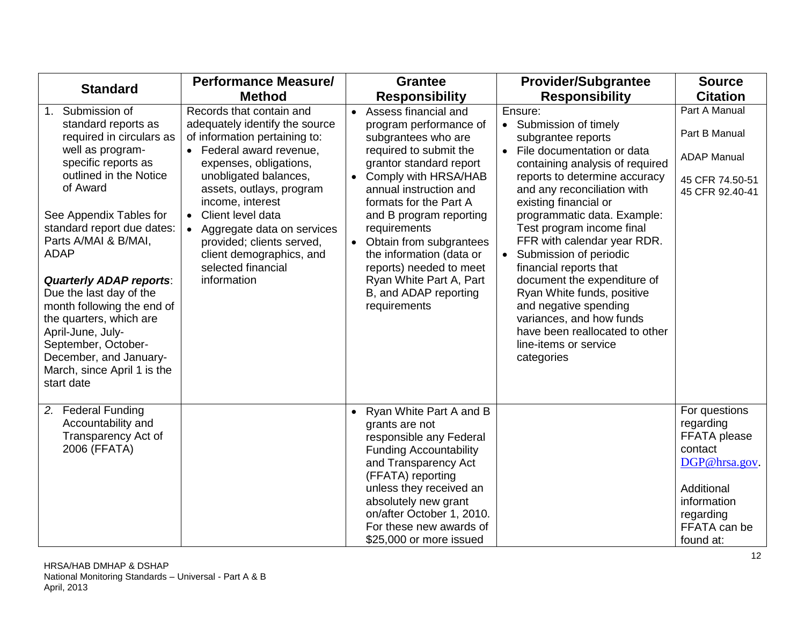| <b>Standard</b>                                                                                                                                                                                                                                                                                                                                                                                                                                                                                  | <b>Performance Measure/</b>                                                                                                                                                                                                                                                                                                                                                              | <b>Grantee</b>                                                                                                                                                                                                                                                                                                                                                                                                                                 | <b>Provider/Subgrantee</b>                                                                                                                                                                                                                                                                                                                                                                                                                                                                                                                                                          | <b>Source</b>                                                                                                                                 |
|--------------------------------------------------------------------------------------------------------------------------------------------------------------------------------------------------------------------------------------------------------------------------------------------------------------------------------------------------------------------------------------------------------------------------------------------------------------------------------------------------|------------------------------------------------------------------------------------------------------------------------------------------------------------------------------------------------------------------------------------------------------------------------------------------------------------------------------------------------------------------------------------------|------------------------------------------------------------------------------------------------------------------------------------------------------------------------------------------------------------------------------------------------------------------------------------------------------------------------------------------------------------------------------------------------------------------------------------------------|-------------------------------------------------------------------------------------------------------------------------------------------------------------------------------------------------------------------------------------------------------------------------------------------------------------------------------------------------------------------------------------------------------------------------------------------------------------------------------------------------------------------------------------------------------------------------------------|-----------------------------------------------------------------------------------------------------------------------------------------------|
|                                                                                                                                                                                                                                                                                                                                                                                                                                                                                                  | <b>Method</b>                                                                                                                                                                                                                                                                                                                                                                            | <b>Responsibility</b>                                                                                                                                                                                                                                                                                                                                                                                                                          | <b>Responsibility</b>                                                                                                                                                                                                                                                                                                                                                                                                                                                                                                                                                               | <b>Citation</b>                                                                                                                               |
| Submission of<br>1.<br>standard reports as<br>required in circulars as<br>well as program-<br>specific reports as<br>outlined in the Notice<br>of Award<br>See Appendix Tables for<br>standard report due dates:<br>Parts A/MAI & B/MAI,<br><b>ADAP</b><br><b>Quarterly ADAP reports:</b><br>Due the last day of the<br>month following the end of<br>the quarters, which are<br>April-June, July-<br>September, October-<br>December, and January-<br>March, since April 1 is the<br>start date | Records that contain and<br>adequately identify the source<br>of information pertaining to:<br>• Federal award revenue,<br>expenses, obligations,<br>unobligated balances,<br>assets, outlays, program<br>income, interest<br>Client level data<br>$\bullet$<br>Aggregate data on services<br>provided; clients served,<br>client demographics, and<br>selected financial<br>information | Assess financial and<br>$\bullet$<br>program performance of<br>subgrantees who are<br>required to submit the<br>grantor standard report<br>Comply with HRSA/HAB<br>$\bullet$<br>annual instruction and<br>formats for the Part A<br>and B program reporting<br>requirements<br>Obtain from subgrantees<br>$\bullet$<br>the information (data or<br>reports) needed to meet<br>Ryan White Part A, Part<br>B, and ADAP reporting<br>requirements | Ensure:<br>Submission of timely<br>$\bullet$<br>subgrantee reports<br>File documentation or data<br>$\bullet$<br>containing analysis of required<br>reports to determine accuracy<br>and any reconciliation with<br>existing financial or<br>programmatic data. Example:<br>Test program income final<br>FFR with calendar year RDR.<br>Submission of periodic<br>financial reports that<br>document the expenditure of<br>Ryan White funds, positive<br>and negative spending<br>variances, and how funds<br>have been reallocated to other<br>line-items or service<br>categories | Part A Manual<br>Part B Manual<br><b>ADAP Manual</b><br>45 CFR 74.50-51<br>45 CFR 92.40-41                                                    |
| 2. Federal Funding<br>Accountability and<br>Transparency Act of<br>2006 (FFATA)                                                                                                                                                                                                                                                                                                                                                                                                                  |                                                                                                                                                                                                                                                                                                                                                                                          | Ryan White Part A and B<br>$\bullet$<br>grants are not<br>responsible any Federal<br><b>Funding Accountability</b><br>and Transparency Act<br>(FFATA) reporting<br>unless they received an<br>absolutely new grant<br>on/after October 1, 2010.<br>For these new awards of<br>\$25,000 or more issued                                                                                                                                          |                                                                                                                                                                                                                                                                                                                                                                                                                                                                                                                                                                                     | For questions<br>regarding<br>FFATA please<br>contact<br>DGP@hrsa.gov.<br>Additional<br>information<br>regarding<br>FFATA can be<br>found at: |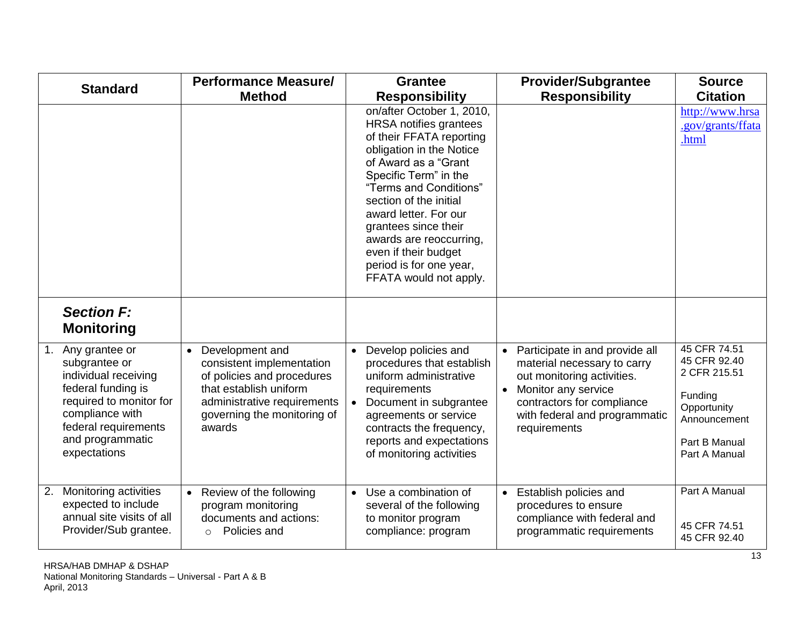<span id="page-12-0"></span>

|    | <b>Standard</b>                                                                                                                                                                         | <b>Performance Measure/</b>                                                                                                                                                               | <b>Provider/Subgrantee</b><br><b>Grantee</b>                                                                                                                                                                                                                                                                                                                                                                                                                      | <b>Source</b>                                                                                                            |
|----|-----------------------------------------------------------------------------------------------------------------------------------------------------------------------------------------|-------------------------------------------------------------------------------------------------------------------------------------------------------------------------------------------|-------------------------------------------------------------------------------------------------------------------------------------------------------------------------------------------------------------------------------------------------------------------------------------------------------------------------------------------------------------------------------------------------------------------------------------------------------------------|--------------------------------------------------------------------------------------------------------------------------|
|    |                                                                                                                                                                                         | <b>Method</b>                                                                                                                                                                             | <b>Responsibility</b><br><b>Responsibility</b>                                                                                                                                                                                                                                                                                                                                                                                                                    | <b>Citation</b>                                                                                                          |
|    |                                                                                                                                                                                         |                                                                                                                                                                                           | on/after October 1, 2010,<br><b>HRSA</b> notifies grantees<br>of their FFATA reporting<br>obligation in the Notice<br>of Award as a "Grant<br>Specific Term" in the<br>"Terms and Conditions"<br>section of the initial<br>award letter. For our<br>grantees since their<br>awards are reoccurring,<br>even if their budget<br>period is for one year,<br>FFATA would not apply.                                                                                  | http://www.hrsa<br>.gov/grants/ffata<br>.html                                                                            |
|    | <b>Section F:</b><br><b>Monitoring</b>                                                                                                                                                  |                                                                                                                                                                                           |                                                                                                                                                                                                                                                                                                                                                                                                                                                                   |                                                                                                                          |
| 1. | Any grantee or<br>subgrantee or<br>individual receiving<br>federal funding is<br>required to monitor for<br>compliance with<br>federal requirements<br>and programmatic<br>expectations | Development and<br>$\bullet$<br>consistent implementation<br>of policies and procedures<br>that establish uniform<br>administrative requirements<br>governing the monitoring of<br>awards | Develop policies and<br>Participate in and provide all<br>$\bullet$<br>procedures that establish<br>material necessary to carry<br>uniform administrative<br>out monitoring activities.<br>Monitor any service<br>requirements<br>$\bullet$<br>Document in subgrantee<br>contractors for compliance<br>with federal and programmatic<br>agreements or service<br>contracts the frequency,<br>requirements<br>reports and expectations<br>of monitoring activities | 45 CFR 74.51<br>45 CFR 92.40<br>2 CFR 215.51<br>Funding<br>Opportunity<br>Announcement<br>Part B Manual<br>Part A Manual |
| 2. | Monitoring activities<br>expected to include<br>annual site visits of all<br>Provider/Sub grantee.                                                                                      | Review of the following<br>$\bullet$<br>program monitoring<br>documents and actions:<br>Policies and<br>$\Omega$                                                                          | Use a combination of<br>Establish policies and<br>several of the following<br>procedures to ensure<br>to monitor program<br>compliance with federal and<br>compliance: program<br>programmatic requirements                                                                                                                                                                                                                                                       | Part A Manual<br>45 CFR 74.51<br>45 CFR 92.40                                                                            |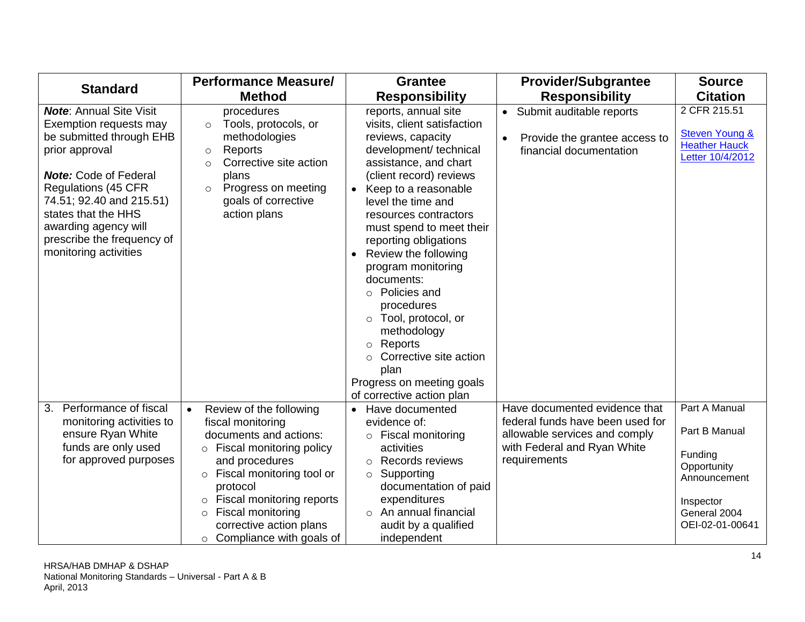| <b>Standard</b>                                                                                                                                                                                                                                                                                        | <b>Performance Measure/</b>                                                                                                                                                                                                                                                                                        | <b>Grantee</b>                                                                                                                                                                                                                                                                                                                                                                                                                                                                                                                                                | <b>Provider/Subgrantee</b>                                                                                                                        | <b>Source</b>                                                                                                            |
|--------------------------------------------------------------------------------------------------------------------------------------------------------------------------------------------------------------------------------------------------------------------------------------------------------|--------------------------------------------------------------------------------------------------------------------------------------------------------------------------------------------------------------------------------------------------------------------------------------------------------------------|---------------------------------------------------------------------------------------------------------------------------------------------------------------------------------------------------------------------------------------------------------------------------------------------------------------------------------------------------------------------------------------------------------------------------------------------------------------------------------------------------------------------------------------------------------------|---------------------------------------------------------------------------------------------------------------------------------------------------|--------------------------------------------------------------------------------------------------------------------------|
|                                                                                                                                                                                                                                                                                                        | <b>Method</b>                                                                                                                                                                                                                                                                                                      | <b>Responsibility</b>                                                                                                                                                                                                                                                                                                                                                                                                                                                                                                                                         | <b>Responsibility</b>                                                                                                                             | <b>Citation</b>                                                                                                          |
| <b>Note: Annual Site Visit</b><br>Exemption requests may<br>be submitted through EHB<br>prior approval<br><b>Note:</b> Code of Federal<br><b>Regulations (45 CFR</b><br>74.51; 92.40 and 215.51)<br>states that the HHS<br>awarding agency will<br>prescribe the frequency of<br>monitoring activities | procedures<br>Tools, protocols, or<br>$\circ$<br>methodologies<br>Reports<br>$\circ$<br>Corrective site action<br>$\circ$<br>plans<br>Progress on meeting<br>$\circ$<br>goals of corrective<br>action plans                                                                                                        | reports, annual site<br>visits, client satisfaction<br>reviews, capacity<br>development/ technical<br>assistance, and chart<br>(client record) reviews<br>Keep to a reasonable<br>$\bullet$<br>level the time and<br>resources contractors<br>must spend to meet their<br>reporting obligations<br>Review the following<br>program monitoring<br>documents:<br>○ Policies and<br>procedures<br>Tool, protocol, or<br>$\circ$<br>methodology<br>Reports<br>$\circ$<br>Corrective site action<br>plan<br>Progress on meeting goals<br>of corrective action plan | Submit auditable reports<br>$\bullet$<br>Provide the grantee access to<br>$\bullet$<br>financial documentation                                    | 2 CFR 215.51<br><b>Steven Young &amp;</b><br><b>Heather Hauck</b><br>Letter 10/4/2012                                    |
| Performance of fiscal<br>3.<br>monitoring activities to<br>ensure Ryan White<br>funds are only used<br>for approved purposes                                                                                                                                                                           | Review of the following<br>$\bullet$<br>fiscal monitoring<br>documents and actions:<br>$\circ$ Fiscal monitoring policy<br>and procedures<br>o Fiscal monitoring tool or<br>protocol<br>o Fiscal monitoring reports<br>Fiscal monitoring<br>$\circ$<br>corrective action plans<br>$\circ$ Compliance with goals of | Have documented<br>$\bullet$<br>evidence of:<br>$\circ$ Fiscal monitoring<br>activities<br>o Records reviews<br>Supporting<br>$\circ$<br>documentation of paid<br>expenditures<br>$\circ$ An annual financial<br>audit by a qualified<br>independent                                                                                                                                                                                                                                                                                                          | Have documented evidence that<br>federal funds have been used for<br>allowable services and comply<br>with Federal and Ryan White<br>requirements | Part A Manual<br>Part B Manual<br>Funding<br>Opportunity<br>Announcement<br>Inspector<br>General 2004<br>OEI-02-01-00641 |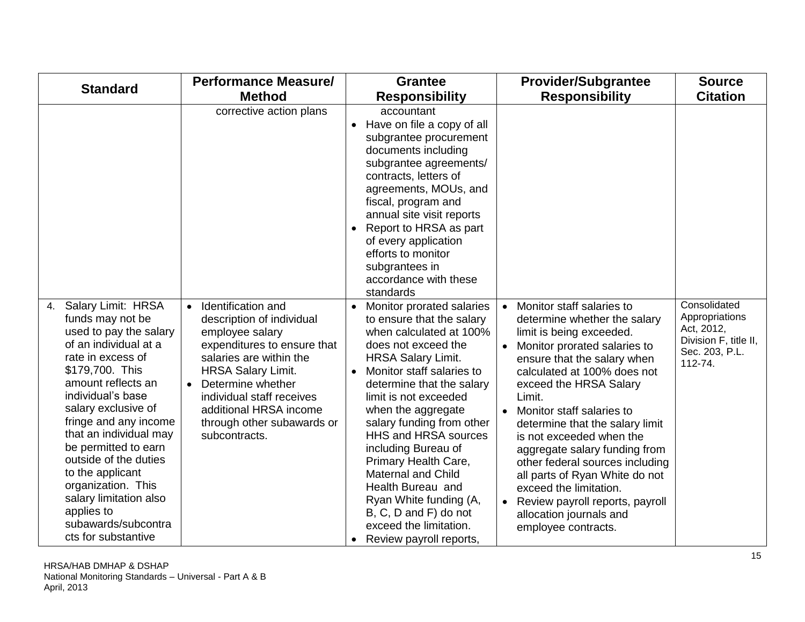|                                                                                                                                                                                                                                                                                                                                                                                                                                               | <b>Performance Measure/</b>                                                                                                                                                                                                                                                                                    | <b>Grantee</b>                                                                                                                                                                                                                                                                                                                                                                                                                                                                                                                        | <b>Provider/Subgrantee</b>                                                                                                                                                                                                                                                                                                                                                                                                                                                                                                                            | <b>Source</b>                                                                                      |
|-----------------------------------------------------------------------------------------------------------------------------------------------------------------------------------------------------------------------------------------------------------------------------------------------------------------------------------------------------------------------------------------------------------------------------------------------|----------------------------------------------------------------------------------------------------------------------------------------------------------------------------------------------------------------------------------------------------------------------------------------------------------------|---------------------------------------------------------------------------------------------------------------------------------------------------------------------------------------------------------------------------------------------------------------------------------------------------------------------------------------------------------------------------------------------------------------------------------------------------------------------------------------------------------------------------------------|-------------------------------------------------------------------------------------------------------------------------------------------------------------------------------------------------------------------------------------------------------------------------------------------------------------------------------------------------------------------------------------------------------------------------------------------------------------------------------------------------------------------------------------------------------|----------------------------------------------------------------------------------------------------|
| <b>Standard</b>                                                                                                                                                                                                                                                                                                                                                                                                                               | <b>Method</b>                                                                                                                                                                                                                                                                                                  | <b>Responsibility</b>                                                                                                                                                                                                                                                                                                                                                                                                                                                                                                                 | <b>Responsibility</b>                                                                                                                                                                                                                                                                                                                                                                                                                                                                                                                                 | <b>Citation</b>                                                                                    |
|                                                                                                                                                                                                                                                                                                                                                                                                                                               | corrective action plans                                                                                                                                                                                                                                                                                        | accountant<br>Have on file a copy of all<br>$\bullet$<br>subgrantee procurement<br>documents including<br>subgrantee agreements/<br>contracts, letters of<br>agreements, MOUs, and<br>fiscal, program and<br>annual site visit reports<br>Report to HRSA as part<br>$\bullet$<br>of every application<br>efforts to monitor<br>subgrantees in<br>accordance with these<br>standards                                                                                                                                                   |                                                                                                                                                                                                                                                                                                                                                                                                                                                                                                                                                       |                                                                                                    |
| Salary Limit: HRSA<br>4.<br>funds may not be<br>used to pay the salary<br>of an individual at a<br>rate in excess of<br>\$179,700. This<br>amount reflects an<br>individual's base<br>salary exclusive of<br>fringe and any income<br>that an individual may<br>be permitted to earn<br>outside of the duties<br>to the applicant<br>organization. This<br>salary limitation also<br>applies to<br>subawards/subcontra<br>cts for substantive | Identification and<br>$\bullet$<br>description of individual<br>employee salary<br>expenditures to ensure that<br>salaries are within the<br><b>HRSA Salary Limit.</b><br>Determine whether<br>$\bullet$<br>individual staff receives<br>additional HRSA income<br>through other subawards or<br>subcontracts. | Monitor prorated salaries<br>to ensure that the salary<br>when calculated at 100%<br>does not exceed the<br><b>HRSA Salary Limit.</b><br>Monitor staff salaries to<br>$\bullet$<br>determine that the salary<br>limit is not exceeded<br>when the aggregate<br>salary funding from other<br><b>HHS and HRSA sources</b><br>including Bureau of<br>Primary Health Care,<br><b>Maternal and Child</b><br>Health Bureau and<br>Ryan White funding (A,<br>B, C, D and F) do not<br>exceed the limitation.<br>Review payroll reports,<br>٠ | Monitor staff salaries to<br>determine whether the salary<br>limit is being exceeded.<br>Monitor prorated salaries to<br>ensure that the salary when<br>calculated at 100% does not<br>exceed the HRSA Salary<br>Limit.<br>Monitor staff salaries to<br>$\bullet$<br>determine that the salary limit<br>is not exceeded when the<br>aggregate salary funding from<br>other federal sources including<br>all parts of Ryan White do not<br>exceed the limitation.<br>Review payroll reports, payroll<br>allocation journals and<br>employee contracts. | Consolidated<br>Appropriations<br>Act, 2012,<br>Division F, title II,<br>Sec. 203, P.L.<br>112-74. |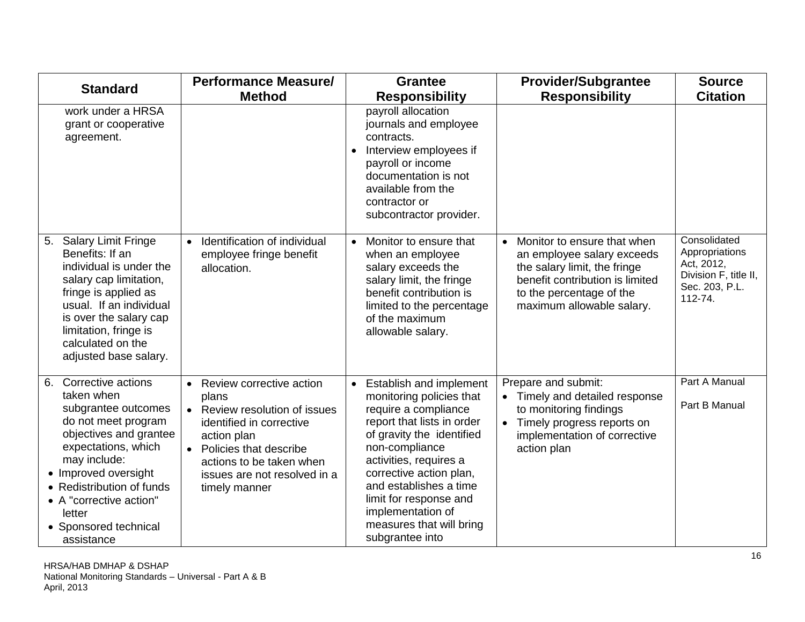| <b>Standard</b>                                                                                                                                                                                                                                                                        | <b>Performance Measure/</b>                                                                                                                                                                                                                               | <b>Grantee</b>                                                                                                                                                                                                                                                                                                                                            | <b>Provider/Subgrantee</b>                                                                                                                                                                         | <b>Source</b>                                                                                      |
|----------------------------------------------------------------------------------------------------------------------------------------------------------------------------------------------------------------------------------------------------------------------------------------|-----------------------------------------------------------------------------------------------------------------------------------------------------------------------------------------------------------------------------------------------------------|-----------------------------------------------------------------------------------------------------------------------------------------------------------------------------------------------------------------------------------------------------------------------------------------------------------------------------------------------------------|----------------------------------------------------------------------------------------------------------------------------------------------------------------------------------------------------|----------------------------------------------------------------------------------------------------|
|                                                                                                                                                                                                                                                                                        | <b>Method</b>                                                                                                                                                                                                                                             | <b>Responsibility</b>                                                                                                                                                                                                                                                                                                                                     | <b>Responsibility</b>                                                                                                                                                                              | <b>Citation</b>                                                                                    |
| work under a HRSA<br>grant or cooperative<br>agreement.                                                                                                                                                                                                                                |                                                                                                                                                                                                                                                           | payroll allocation<br>journals and employee<br>contracts.<br>Interview employees if<br>$\bullet$<br>payroll or income<br>documentation is not<br>available from the<br>contractor or<br>subcontractor provider.                                                                                                                                           |                                                                                                                                                                                                    |                                                                                                    |
| <b>Salary Limit Fringe</b><br>5.<br>Benefits: If an<br>individual is under the<br>salary cap limitation,<br>fringe is applied as<br>usual. If an individual<br>is over the salary cap<br>limitation, fringe is<br>calculated on the<br>adjusted base salary.                           | Identification of individual<br>$\bullet$<br>employee fringe benefit<br>allocation.                                                                                                                                                                       | Monitor to ensure that<br>$\bullet$<br>when an employee<br>salary exceeds the<br>salary limit, the fringe<br>benefit contribution is<br>limited to the percentage<br>of the maximum<br>allowable salary.                                                                                                                                                  | Monitor to ensure that when<br>$\bullet$<br>an employee salary exceeds<br>the salary limit, the fringe<br>benefit contribution is limited<br>to the percentage of the<br>maximum allowable salary. | Consolidated<br>Appropriations<br>Act, 2012,<br>Division F, title II,<br>Sec. 203, P.L.<br>112-74. |
| Corrective actions<br>6.<br>taken when<br>subgrantee outcomes<br>do not meet program<br>objectives and grantee<br>expectations, which<br>may include:<br>• Improved oversight<br>• Redistribution of funds<br>• A "corrective action"<br>letter<br>• Sponsored technical<br>assistance | Review corrective action<br>$\bullet$<br>plans<br>Review resolution of issues<br>$\bullet$<br>identified in corrective<br>action plan<br>Policies that describe<br>$\bullet$<br>actions to be taken when<br>issues are not resolved in a<br>timely manner | <b>Establish and implement</b><br>$\bullet$<br>monitoring policies that<br>require a compliance<br>report that lists in order<br>of gravity the identified<br>non-compliance<br>activities, requires a<br>corrective action plan,<br>and establishes a time<br>limit for response and<br>implementation of<br>measures that will bring<br>subgrantee into | Prepare and submit:<br>• Timely and detailed response<br>to monitoring findings<br>Timely progress reports on<br>$\bullet$<br>implementation of corrective<br>action plan                          | Part A Manual<br>Part B Manual                                                                     |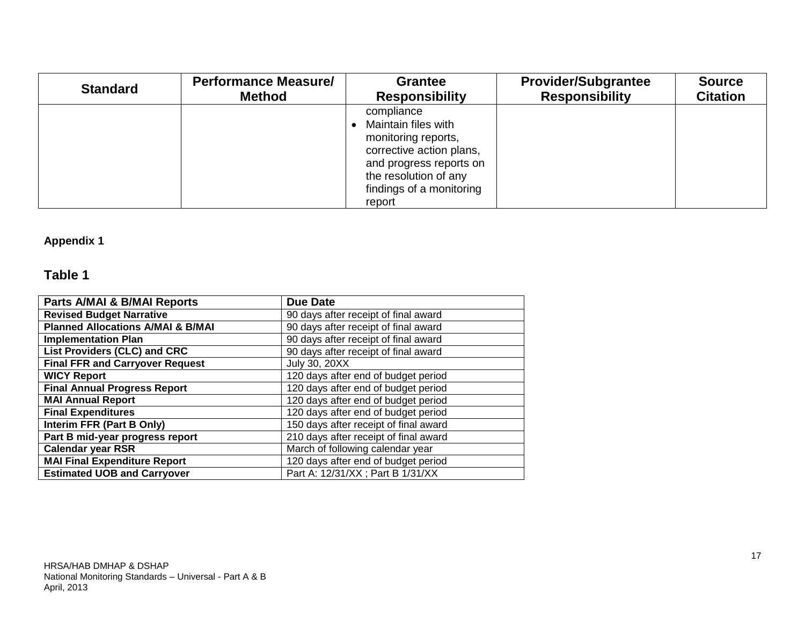| <b>Standard</b> | <b>Performance Measure/</b> | <b>Grantee</b>                                                                                                                                                                 | <b>Provider/Subgrantee</b> | <b>Source</b>   |
|-----------------|-----------------------------|--------------------------------------------------------------------------------------------------------------------------------------------------------------------------------|----------------------------|-----------------|
|                 | <b>Method</b>               | <b>Responsibility</b>                                                                                                                                                          | <b>Responsibility</b>      | <b>Citation</b> |
|                 |                             | compliance<br>Maintain files with<br>monitoring reports,<br>corrective action plans,<br>and progress reports on<br>the resolution of any<br>findings of a monitoring<br>report |                            |                 |

### <span id="page-16-0"></span>**Appendix 1**

### **Table 1**

| Parts A/MAI & B/MAI Reports                  | <b>Due Date</b>                       |
|----------------------------------------------|---------------------------------------|
| <b>Revised Budget Narrative</b>              | 90 days after receipt of final award  |
| <b>Planned Allocations A/MAI &amp; B/MAI</b> | 90 days after receipt of final award  |
| <b>Implementation Plan</b>                   | 90 days after receipt of final award  |
| List Providers (CLC) and CRC                 | 90 days after receipt of final award  |
| <b>Final FFR and Carryover Request</b>       | <b>July 30, 20XX</b>                  |
| <b>WICY Report</b>                           | 120 days after end of budget period   |
| <b>Final Annual Progress Report</b>          | 120 days after end of budget period   |
| <b>MAI Annual Report</b>                     | 120 days after end of budget period   |
| <b>Final Expenditures</b>                    | 120 days after end of budget period   |
| Interim FFR (Part B Only)                    | 150 days after receipt of final award |
| Part B mid-year progress report              | 210 days after receipt of final award |
| <b>Calendar year RSR</b>                     | March of following calendar year      |
| <b>MAI Final Expenditure Report</b>          | 120 days after end of budget period   |
| <b>Estimated UOB and Carryover</b>           | Part A: 12/31/XX ; Part B 1/31/XX     |